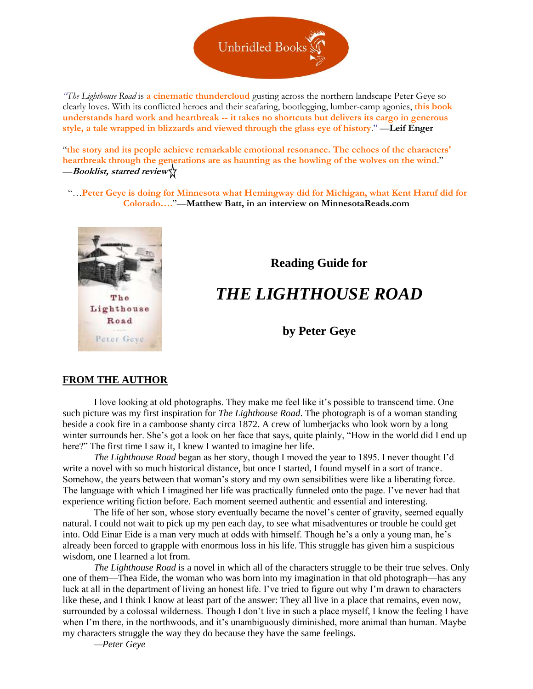

*"The Lighthouse Road* is **a cinematic thundercloud** gusting across the northern landscape Peter Geye so clearly loves. With its conflicted heroes and their seafaring, bootlegging, lumber-camp agonies, **this book understands hard work and heartbreak -- it takes no shortcuts but delivers its cargo in generous style, a tale wrapped in blizzards and viewed through the glass eye of history**." —**Leif Enger**

"**the story and its people achieve remarkable emotional resonance. The echoes of the characters' heartbreak through the generations are as haunting as the howling of the wolves on the wind**." —**Booklist, starred review** 

"…**Peter Geye is doing for Minnesota what Hemingway did for Michigan, what Kent Haruf did for Colorado….**"—**Matthew Batt, in an interview on MinnesotaReads.com**



# **Reading Guide for**

# *THE LIGHTHOUSE ROAD*

**by Peter Geye**

## **FROM THE AUTHOR**

I love looking at old photographs. They make me feel like it's possible to transcend time. One such picture was my first inspiration for *The Lighthouse Road*. The photograph is of a woman standing beside a cook fire in a camboose shanty circa 1872. A crew of lumberjacks who look worn by a long winter surrounds her. She's got a look on her face that says, quite plainly, "How in the world did I end up here?" The first time I saw it, I knew I wanted to imagine her life.

*The Lighthouse Road* began as her story, though I moved the year to 1895. I never thought I'd write a novel with so much historical distance, but once I started, I found myself in a sort of trance. Somehow, the years between that woman's story and my own sensibilities were like a liberating force. The language with which I imagined her life was practically funneled onto the page. I've never had that experience writing fiction before. Each moment seemed authentic and essential and interesting.

The life of her son, whose story eventually became the novel's center of gravity, seemed equally natural. I could not wait to pick up my pen each day, to see what misadventures or trouble he could get into. Odd Einar Eide is a man very much at odds with himself. Though he's a only a young man, he's already been forced to grapple with enormous loss in his life. This struggle has given him a suspicious wisdom, one I learned a lot from.

*The Lighthouse Road* is a novel in which all of the characters struggle to be their true selves. Only one of them—Thea Eide, the woman who was born into my imagination in that old photograph—has any luck at all in the department of living an honest life. I've tried to figure out why I'm drawn to characters like these, and I think I know at least part of the answer: They all live in a place that remains, even now, surrounded by a colossal wilderness. Though I don't live in such a place myself, I know the feeling I have when I'm there, in the northwoods, and it's unambiguously diminished, more animal than human. Maybe my characters struggle the way they do because they have the same feelings.

*—Peter Geye*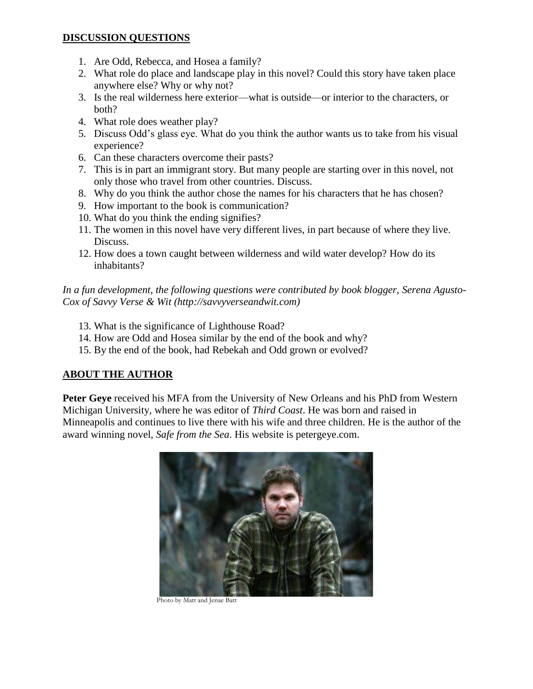# **DISCUSSION QUESTIONS**

- 1. Are Odd, Rebecca, and Hosea a family?
- 2. What role do place and landscape play in this novel? Could this story have taken place anywhere else? Why or why not?
- 3. Is the real wilderness here exterior—what is outside—or interior to the characters, or both?
- 4. What role does weather play?
- 5. Discuss Odd's glass eye. What do you think the author wants us to take from his visual experience?
- 6. Can these characters overcome their pasts?
- 7. This is in part an immigrant story. But many people are starting over in this novel, not only those who travel from other countries. Discuss.
- 8. Why do you think the author chose the names for his characters that he has chosen?
- 9. How important to the book is communication?
- 10. What do you think the ending signifies?
- 11. The women in this novel have very different lives, in part because of where they live. Discuss.
- 12. How does a town caught between wilderness and wild water develop? How do its inhabitants?

*In a fun development, the following questions were contributed by book blogger, Serena Agusto-Cox of Savvy Verse & Wit (http://savvyverseandwit.com)*

- 13. What is the significance of Lighthouse Road?
- 14. How are Odd and Hosea similar by the end of the book and why?
- 15. By the end of the book, had Rebekah and Odd grown or evolved?

# **ABOUT THE AUTHOR**

**Peter Geye** received his MFA from the University of New Orleans and his PhD from Western Michigan University, where he was editor of *Third Coast*. He was born and raised in Minneapolis and continues to live there with his wife and three children. He is the author of the award winning novel, *Safe from the Sea*. His website is petergeye.com.



Photo by Matt and Jenae Batt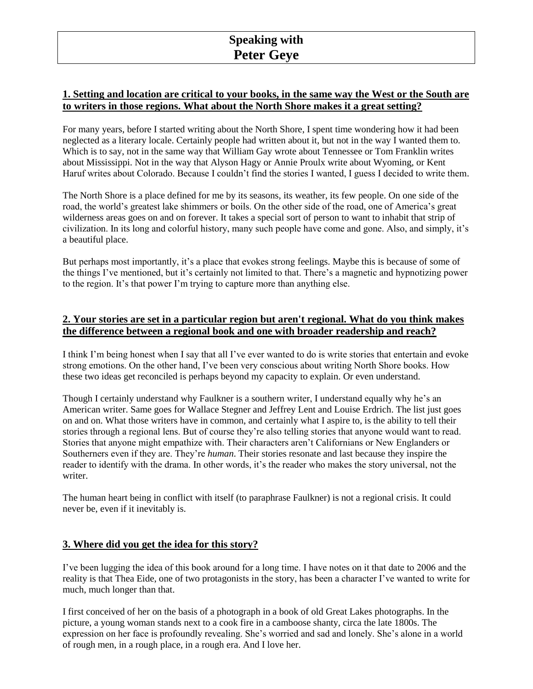# **1. Setting and location are critical to your books, in the same way the West or the South are to writers in those regions. What about the North Shore makes it a great setting?**

For many years, before I started writing about the North Shore, I spent time wondering how it had been neglected as a literary locale. Certainly people had written about it, but not in the way I wanted them to. Which is to say, not in the same way that William Gay wrote about Tennessee or Tom Franklin writes about Mississippi. Not in the way that Alyson Hagy or Annie Proulx write about Wyoming, or Kent Haruf writes about Colorado. Because I couldn't find the stories I wanted, I guess I decided to write them.

The North Shore is a place defined for me by its seasons, its weather, its few people. On one side of the road, the world's greatest lake shimmers or boils. On the other side of the road, one of America's great wilderness areas goes on and on forever. It takes a special sort of person to want to inhabit that strip of civilization. In its long and colorful history, many such people have come and gone. Also, and simply, it's a beautiful place.

But perhaps most importantly, it's a place that evokes strong feelings. Maybe this is because of some of the things I've mentioned, but it's certainly not limited to that. There's a magnetic and hypnotizing power to the region. It's that power I'm trying to capture more than anything else.

# **2. Your stories are set in a particular region but aren't regional. What do you think makes the difference between a regional book and one with broader readership and reach?**

I think I'm being honest when I say that all I've ever wanted to do is write stories that entertain and evoke strong emotions. On the other hand, I've been very conscious about writing North Shore books. How these two ideas get reconciled is perhaps beyond my capacity to explain. Or even understand.

Though I certainly understand why Faulkner is a southern writer, I understand equally why he's an American writer. Same goes for Wallace Stegner and Jeffrey Lent and Louise Erdrich. The list just goes on and on. What those writers have in common, and certainly what I aspire to, is the ability to tell their stories through a regional lens. But of course they're also telling stories that anyone would want to read. Stories that anyone might empathize with. Their characters aren't Californians or New Englanders or Southerners even if they are. They're *human*. Their stories resonate and last because they inspire the reader to identify with the drama. In other words, it's the reader who makes the story universal, not the writer.

The human heart being in conflict with itself (to paraphrase Faulkner) is not a regional crisis. It could never be, even if it inevitably is.

## **3. Where did you get the idea for this story?**

I've been lugging the idea of this book around for a long time. I have notes on it that date to 2006 and the reality is that Thea Eide, one of two protagonists in the story, has been a character I've wanted to write for much, much longer than that.

I first conceived of her on the basis of a photograph in a book of old Great Lakes photographs. In the picture, a young woman stands next to a cook fire in a camboose shanty, circa the late 1800s. The expression on her face is profoundly revealing. She's worried and sad and lonely. She's alone in a world of rough men, in a rough place, in a rough era. And I love her.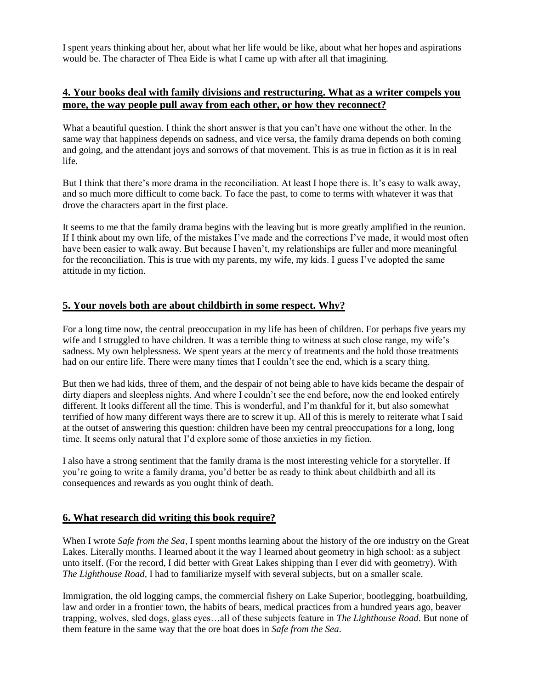I spent years thinking about her, about what her life would be like, about what her hopes and aspirations would be. The character of Thea Eide is what I came up with after all that imagining.

## **4. Your books deal with family divisions and restructuring. What as a writer compels you more, the way people pull away from each other, or how they reconnect?**

What a beautiful question. I think the short answer is that you can't have one without the other. In the same way that happiness depends on sadness, and vice versa, the family drama depends on both coming and going, and the attendant joys and sorrows of that movement. This is as true in fiction as it is in real life.

But I think that there's more drama in the reconciliation. At least I hope there is. It's easy to walk away, and so much more difficult to come back. To face the past, to come to terms with whatever it was that drove the characters apart in the first place.

It seems to me that the family drama begins with the leaving but is more greatly amplified in the reunion. If I think about my own life, of the mistakes I've made and the corrections I've made, it would most often have been easier to walk away. But because I haven't, my relationships are fuller and more meaningful for the reconciliation. This is true with my parents, my wife, my kids. I guess I've adopted the same attitude in my fiction.

## **5. Your novels both are about childbirth in some respect. Why?**

For a long time now, the central preoccupation in my life has been of children. For perhaps five years my wife and I struggled to have children. It was a terrible thing to witness at such close range, my wife's sadness. My own helplessness. We spent years at the mercy of treatments and the hold those treatments had on our entire life. There were many times that I couldn't see the end, which is a scary thing.

But then we had kids, three of them, and the despair of not being able to have kids became the despair of dirty diapers and sleepless nights. And where I couldn't see the end before, now the end looked entirely different. It looks different all the time. This is wonderful, and I'm thankful for it, but also somewhat terrified of how many different ways there are to screw it up. All of this is merely to reiterate what I said at the outset of answering this question: children have been my central preoccupations for a long, long time. It seems only natural that I'd explore some of those anxieties in my fiction.

I also have a strong sentiment that the family drama is the most interesting vehicle for a storyteller. If you're going to write a family drama, you'd better be as ready to think about childbirth and all its consequences and rewards as you ought think of death.

#### **6. What research did writing this book require?**

When I wrote *Safe from the Sea*, I spent months learning about the history of the ore industry on the Great Lakes. Literally months. I learned about it the way I learned about geometry in high school: as a subject unto itself. (For the record, I did better with Great Lakes shipping than I ever did with geometry). With *The Lighthouse Road,* I had to familiarize myself with several subjects, but on a smaller scale.

Immigration, the old logging camps, the commercial fishery on Lake Superior, bootlegging, boatbuilding, law and order in a frontier town, the habits of bears, medical practices from a hundred years ago, beaver trapping, wolves, sled dogs, glass eyes…all of these subjects feature in *The Lighthouse Road*. But none of them feature in the same way that the ore boat does in *Safe from the Sea*.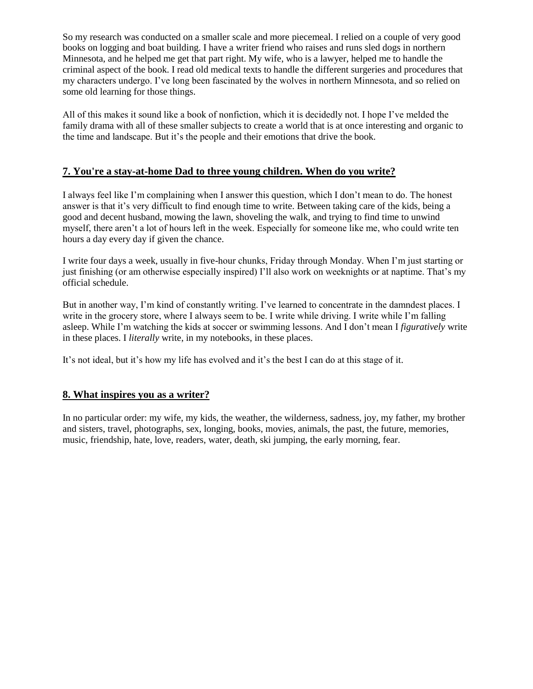So my research was conducted on a smaller scale and more piecemeal. I relied on a couple of very good books on logging and boat building. I have a writer friend who raises and runs sled dogs in northern Minnesota, and he helped me get that part right. My wife, who is a lawyer, helped me to handle the criminal aspect of the book. I read old medical texts to handle the different surgeries and procedures that my characters undergo. I've long been fascinated by the wolves in northern Minnesota, and so relied on some old learning for those things.

All of this makes it sound like a book of nonfiction, which it is decidedly not. I hope I've melded the family drama with all of these smaller subjects to create a world that is at once interesting and organic to the time and landscape. But it's the people and their emotions that drive the book.

# **7. You're a stay-at-home Dad to three young children. When do you write?**

I always feel like I'm complaining when I answer this question, which I don't mean to do. The honest answer is that it's very difficult to find enough time to write. Between taking care of the kids, being a good and decent husband, mowing the lawn, shoveling the walk, and trying to find time to unwind myself, there aren't a lot of hours left in the week. Especially for someone like me, who could write ten hours a day every day if given the chance.

I write four days a week, usually in five-hour chunks, Friday through Monday. When I'm just starting or just finishing (or am otherwise especially inspired) I'll also work on weeknights or at naptime. That's my official schedule.

But in another way, I'm kind of constantly writing. I've learned to concentrate in the damndest places. I write in the grocery store, where I always seem to be. I write while driving. I write while I'm falling asleep. While I'm watching the kids at soccer or swimming lessons. And I don't mean I *figuratively* write in these places. I *literally* write, in my notebooks, in these places.

It's not ideal, but it's how my life has evolved and it's the best I can do at this stage of it.

## **8. What inspires you as a writer?**

In no particular order: my wife, my kids, the weather, the wilderness, sadness, joy, my father, my brother and sisters, travel, photographs, sex, longing, books, movies, animals, the past, the future, memories, music, friendship, hate, love, readers, water, death, ski jumping, the early morning, fear.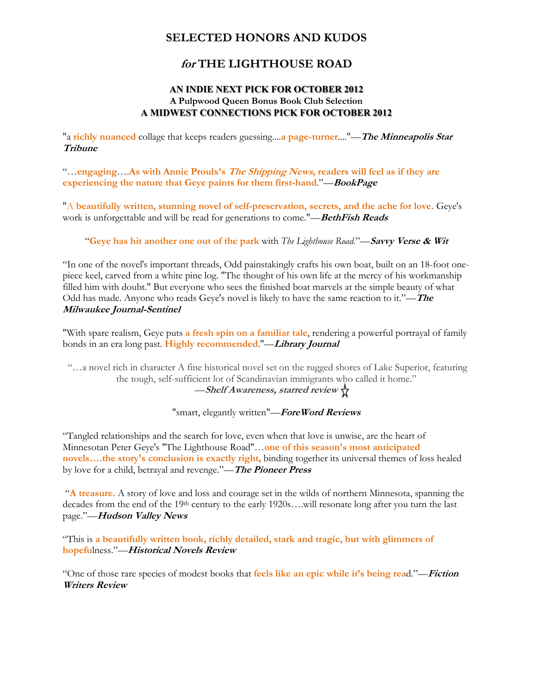# **SELECTED HONORS AND KUDOS**

# **for THE LIGHTHOUSE ROAD**

## **AN INDIE NEXT PICK FOR OCTOBER 2012 A Pulpwood Queen Bonus Book Club Selection A MIDWEST CONNECTIONS PICK FOR OCTOBER 2012**

"a **richly nuanced** collage that keeps readers guessing....**a page-turner**...."—**The Minneapolis Star Tribune**

"…**engaging**….**As with Annie Proulx's The Shipping News, readers will feel as if they are experiencing the nature that Geye paints for them first-hand**."—**BookPage**

"A **beautifully written, stunning novel of self-preservation, secrets, and the ache for love.** Geye's work is unforgettable and will be read for generations to come."—**BethFish Reads**

"**Geye has hit another one out of the park** with *[The Lighthouse Road](http://www.amazon.com/gp/product/1609530845/ref=as_li_ss_tl?ie=UTF8&camp=1789&creative=390957&creativeASIN=1609530845&linkCode=as2&tag=savewi-20)*."—**Savvy Verse & Wit**

"In one of the novel's important threads, Odd painstakingly crafts his own boat, built on an 18-foot onepiece keel, carved from a white pine log. "The thought of his own life at the mercy of his workmanship filled him with doubt." But everyone who sees the finished boat marvels at the simple beauty of what Odd has made. Anyone who reads Geye's novel is likely to have the same reaction to it."—**The Milwaukee Journal-Sentinel**

"With spare realism, Geye puts **a fresh spin on a familiar tale**, rendering a powerful portrayal of family bonds in an era long past. **Highly recommended**."—**Library Journal**

"…a novel rich in character A fine historical novel set on the rugged shores of Lake Superior, featuring the tough, self-sufficient lot of Scandinavian immigrants who called it home." —**Shelf Awareness, starred review**

"smart, elegantly written"—**ForeWord Reviews**

"Tangled relationships and the search for love, even when that love is unwise, are the heart of Minnesotan Peter Geye's "The Lighthouse Road"…**one of this season's most anticipated novels….the story's conclusion is exactly right,** binding together its universal themes of loss healed by love for a child, betrayal and revenge."—**The Pioneer Press**

"**A treasure.** A story of love and loss and courage set in the wilds of northern Minnesota, spanning the decades from the end of the 19<sup>th</sup> century to the early 1920s….will resonate long after you turn the last page."—**Hudson Valley News**

"This is **a beautifully written book, richly detailed, stark and tragic, but with glimmers of hopefu**lness."—**Historical Novels Review**

"One of those rare species of modest books that **feels like an epic while it's being rea**d."—**Fiction Writers Review**